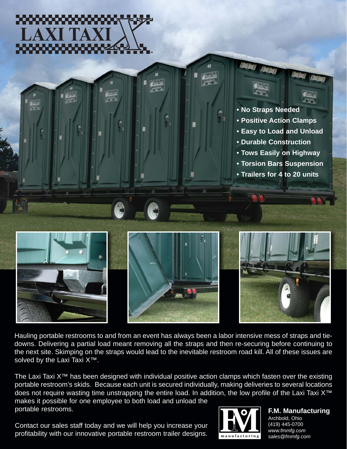







Hauling portable restrooms to and from an event has always been a labor intensive mess of straps and tiedowns. Delivering a partial load meant removing all the straps and then re-securing before continuing to the next site. Skimping on the straps would lead to the inevitable restroom road kill. All of these issues are solved by the Laxi Taxi X<sup>™</sup>.

The Laxi Taxi X™ has been designed with individual positive action clamps which fasten over the existing portable restroom's skids. Because each unit is secured individually, making deliveries to several locations does not require wasting time unstrapping the entire load. In addition, the low profile of the Laxi Taxi X™ makes it possible for one employee to both load and unload the

portable restrooms.

Contact our sales staff today and we will help you increase your profitability with our innovative portable restroom trailer designs.



**F.M. Manufacturing** Archbold, Ohio (419) 445-0700 *www.fmmfg.com sales@fmmfg.com*